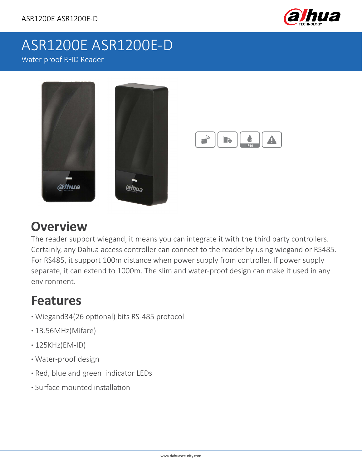

# ASR1200E ASR1200E-D

Water-proof RFID Reader



## **Overview**

The reader support wiegand, it means you can integrate it with the third party controllers. Certainly, any Dahua access controller can connect to the reader by using wiegand or RS485. For RS485, it support 100m distance when power supply from controller. If power supply separate, it can extend to 1000m. The slim and water-proof design can make it used in any environment.

### **Features**

- **·** Wiegand34(26 optional) bits RS-485 protocol
- **·** 13.56MHz(Mifare)
- **·** 125KHz(EM-ID)
- **·** Water-proof design
- **·** Red, blue and green indicator LEDs
- **·** Surface mounted installation